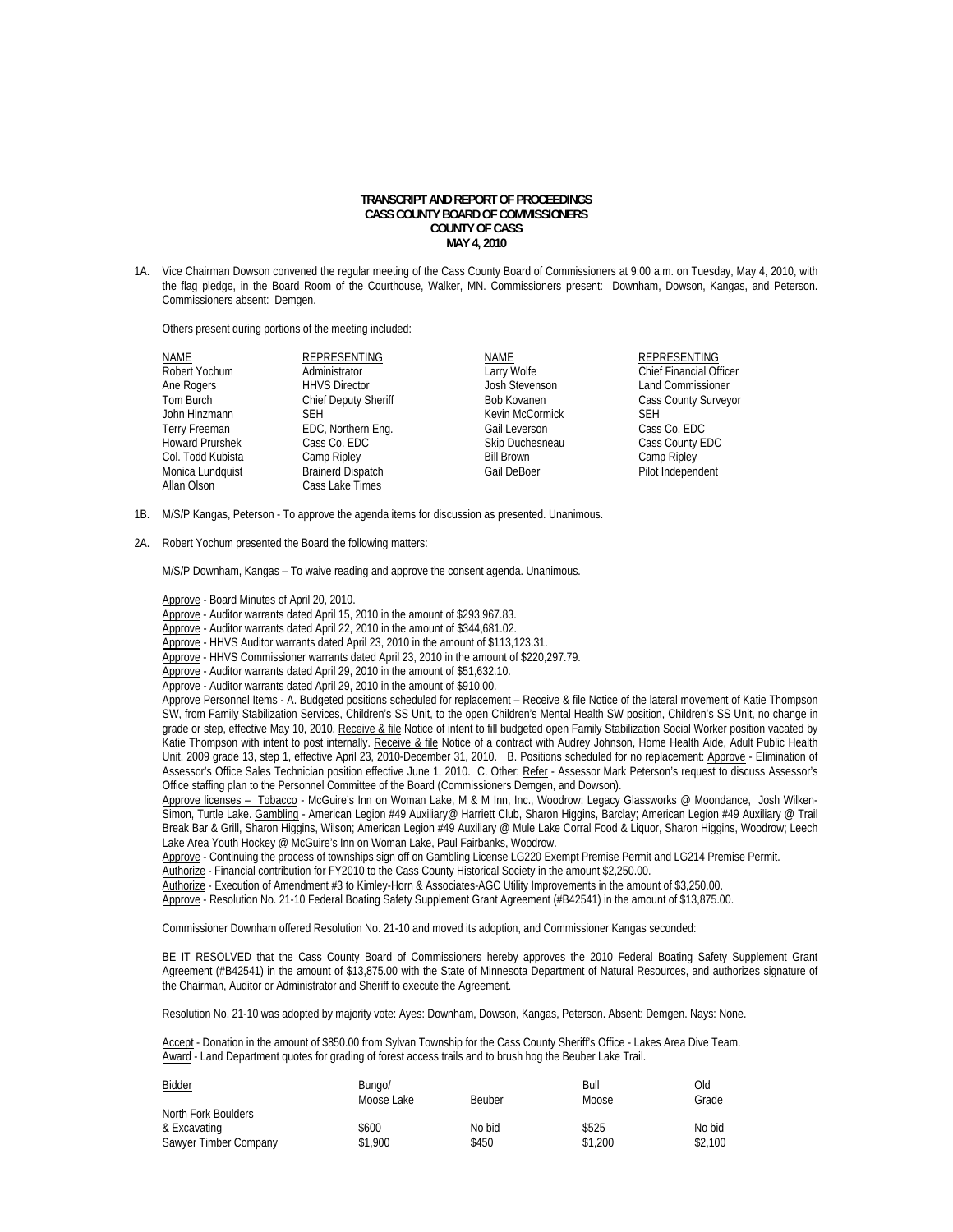## **TRANSCRIPT AND REPORT OF PROCEEDINGS CASS COUNTY BOARD OF COMMISSIONERS COUNTY OF CASS MAY 4, 2010**

1A. Vice Chairman Dowson convened the regular meeting of the Cass County Board of Commissioners at 9:00 a.m. on Tuesday, May 4, 2010, with the flag pledge, in the Board Room of the Courthouse, Walker, MN. Commissioners present: Downham, Dowson, Kangas, and Peterson. Commissioners absent: Demgen.

Others present during portions of the meeting included:

| NAME                   | <b>REPRESENTING</b>         | NAME              | <b>REPRESENTING</b>            |
|------------------------|-----------------------------|-------------------|--------------------------------|
| Robert Yochum          | Administrator               | Larry Wolfe       | <b>Chief Financial Officer</b> |
| Ane Rogers             | <b>HHVS Director</b>        | Josh Stevenson    | <b>Land Commissioner</b>       |
| Tom Burch              | <b>Chief Deputy Sheriff</b> | Bob Kovanen       | <b>Cass County Surveyor</b>    |
| John Hinzmann          | <b>SEH</b>                  | Kevin McCormick   | <b>SEH</b>                     |
| Terry Freeman          | EDC, Northern Eng.          | Gail Leverson     | Cass Co. EDC                   |
| <b>Howard Prurshek</b> | Cass Co. EDC                | Skip Duchesneau   | Cass County EDC                |
| Col. Todd Kubista      | Camp Ripley                 | <b>Bill Brown</b> | Camp Ripley                    |
| Monica Lundquist       | <b>Brainerd Dispatch</b>    | Gail DeBoer       | Pilot Independent              |
| Allan Olson            | Cass Lake Times             |                   |                                |

- 1B. M/S/P Kangas, Peterson To approve the agenda items for discussion as presented. Unanimous.
- 2A. Robert Yochum presented the Board the following matters:

M/S/P Downham, Kangas – To waive reading and approve the consent agenda. Unanimous.

Approve - Board Minutes of April 20, 2010.

Approve - Auditor warrants dated April 15, 2010 in the amount of \$293,967.83.

Approve - Auditor warrants dated April 22, 2010 in the amount of \$344,681.02.

Approve - HHVS Auditor warrants dated April 23, 2010 in the amount of \$113,123.31.

Approve - HHVS Commissioner warrants dated April 23, 2010 in the amount of \$220,297.79.

- Approve Auditor warrants dated April 29, 2010 in the amount of \$51,632.10.
- Approve Auditor warrants dated April 29, 2010 in the amount of \$910.00.

Approve Personnel Items - A. Budgeted positions scheduled for replacement - Receive & file Notice of the lateral movement of Katie Thompson SW, from Family Stabilization Services, Children's SS Unit, to the open Children's Mental Health SW position, Children's SS Unit, no change in grade or step, effective May 10, 2010. Receive & file Notice of intent to fill budgeted open Family Stabilization Social Worker position vacated by Katie Thompson with intent to post internally. Receive & file Notice of a contract with Audrey Johnson, Home Health Aide, Adult Public Health Unit, 2009 grade 13, step 1, effective April 23, 2010-December 31, 2010. B. Positions scheduled for no replacement: Approve - Elimination of Assessor's Office Sales Technician position effective June 1, 2010. C. Other: Refer - Assessor Mark Peterson's request to discuss Assessor's Office staffing plan to the Personnel Committee of the Board (Commissioners Demgen, and Dowson).

Approve licenses – Tobacco - McGuire's Inn on Woman Lake, M & M Inn, Inc., Woodrow; Legacy Glassworks @ Moondance, Josh Wilken-Simon, Turtle Lake. Gambling - American Legion #49 Auxiliary@ Harriett Club, Sharon Higgins, Barclay; American Legion #49 Auxiliary @ Trail Break Bar & Grill, Sharon Higgins, Wilson; American Legion #49 Auxiliary @ Mule Lake Corral Food & Liquor, Sharon Higgins, Woodrow; Leech Lake Area Youth Hockey @ McGuire's Inn on Woman Lake, Paul Fairbanks, Woodrow.

Approve - Continuing the process of townships sign off on Gambling License LG220 Exempt Premise Permit and LG214 Premise Permit. Authorize - Financial contribution for FY2010 to the Cass County Historical Society in the amount \$2,250.00.

Authorize - Execution of Amendment #3 to Kimley-Horn & Associates-AGC Utility Improvements in the amount of \$3,250.00.

Approve - Resolution No. 21-10 Federal Boating Safety Supplement Grant Agreement (#B42541) in the amount of \$13,875.00.

Commissioner Downham offered Resolution No. 21-10 and moved its adoption, and Commissioner Kangas seconded:

BE IT RESOLVED that the Cass County Board of Commissioners hereby approves the 2010 Federal Boating Safety Supplement Grant Agreement (#B42541) in the amount of \$13,875.00 with the State of Minnesota Department of Natural Resources, and authorizes signature of the Chairman, Auditor or Administrator and Sheriff to execute the Agreement.

Resolution No. 21-10 was adopted by majority vote: Ayes: Downham, Dowson, Kangas, Peterson. Absent: Demgen. Nays: None.

 Accept - Donation in the amount of \$850.00 from Sylvan Township for the Cass County Sheriff's Office - Lakes Area Dive Team. Award - Land Department quotes for grading of forest access trails and to brush hog the Beuber Lake Trail.

| <b>Bidder</b>         | Bungo/<br>Moose Lake | Beuber | Bull<br>Moose | Old<br>Grade |
|-----------------------|----------------------|--------|---------------|--------------|
| North Fork Boulders   |                      |        |               |              |
| & Excavating          | \$600                | No bid | \$525         | No bid       |
| Sawyer Timber Company | \$1,900              | \$450  | \$1,200       | \$2,100      |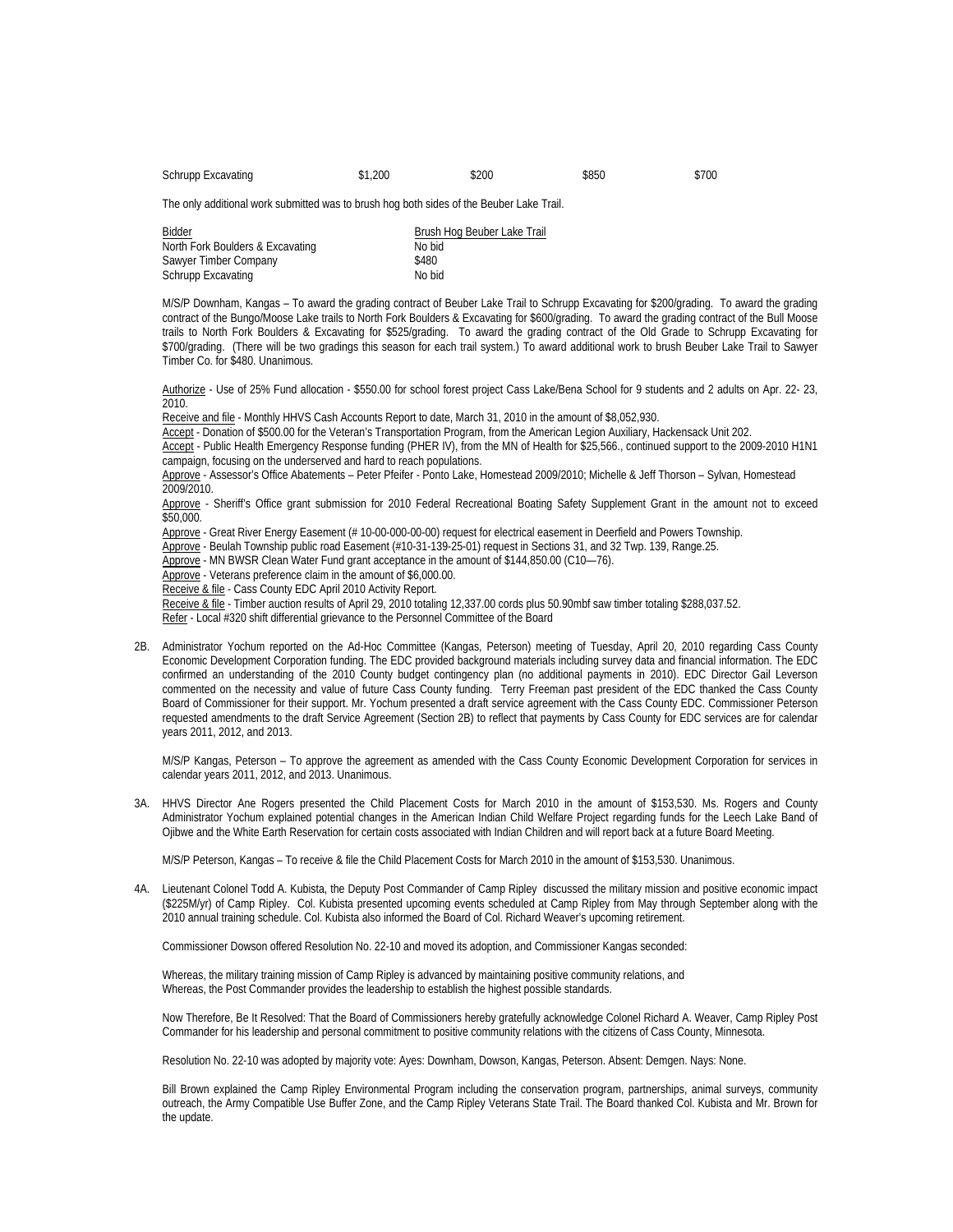Schrupp Excavating  $$1,200$   $$200$   $$850$   $$700$ 

The only additional work submitted was to brush hog both sides of the Beuber Lake Trail.

| Bidder                           | Brush Hog Beuber Lake Trail |
|----------------------------------|-----------------------------|
| North Fork Boulders & Excavating | No bid                      |
| Sawyer Timber Company            | \$480                       |
| <b>Schrupp Excavating</b>        | No bid                      |

 M/S/P Downham, Kangas – To award the grading contract of Beuber Lake Trail to Schrupp Excavating for \$200/grading. To award the grading contract of the Bungo/Moose Lake trails to North Fork Boulders & Excavating for \$600/grading. To award the grading contract of the Bull Moose trails to North Fork Boulders & Excavating for \$525/grading. To award the grading contract of the Old Grade to Schrupp Excavating for \$700/grading. (There will be two gradings this season for each trail system.) To award additional work to brush Beuber Lake Trail to Sawyer Timber Co. for \$480. Unanimous.

Authorize - Use of 25% Fund allocation - \$550.00 for school forest project Cass Lake/Bena School for 9 students and 2 adults on Apr. 22- 23, 2010.

Receive and file - Monthly HHVS Cash Accounts Report to date, March 31, 2010 in the amount of \$8,052,930.

Accept - Donation of \$500.00 for the Veteran's Transportation Program, from the American Legion Auxiliary, Hackensack Unit 202.

Accept - Public Health Emergency Response funding (PHER IV), from the MN of Health for \$25,566., continued support to the 2009-2010 H1N1 campaign, focusing on the underserved and hard to reach populations.

Approve - Assessor's Office Abatements – Peter Pfeifer - Ponto Lake, Homestead 2009/2010; Michelle & Jeff Thorson – Sylvan, Homestead 2009/2010.

Approve - Sheriff's Office grant submission for 2010 Federal Recreational Boating Safety Supplement Grant in the amount not to exceed \$50,000.

Approve - Great River Energy Easement (#10-00-000-00-00) request for electrical easement in Deerfield and Powers Township.

Approve - Beulah Township public road Easement (#10-31-139-25-01) request in Sections 31, and 32 Twp. 139, Range.25.

Approve - MN BWSR Clean Water Fund grant acceptance in the amount of \$144,850.00 (C10—76).

Approve - Veterans preference claim in the amount of \$6,000.00.

Receive & file - Cass County EDC April 2010 Activity Report.

Receive & file - Timber auction results of April 29, 2010 totaling 12,337.00 cords plus 50.90mbf saw timber totaling \$288,037.52.

Refer - Local #320 shift differential grievance to the Personnel Committee of the Board

2B. Administrator Yochum reported on the Ad-Hoc Committee (Kangas, Peterson) meeting of Tuesday, April 20, 2010 regarding Cass County Economic Development Corporation funding. The EDC provided background materials including survey data and financial information. The EDC confirmed an understanding of the 2010 County budget contingency plan (no additional payments in 2010). EDC Director Gail Leverson commented on the necessity and value of future Cass County funding. Terry Freeman past president of the EDC thanked the Cass County Board of Commissioner for their support. Mr. Yochum presented a draft service agreement with the Cass County EDC. Commissioner Peterson requested amendments to the draft Service Agreement (Section 2B) to reflect that payments by Cass County for EDC services are for calendar years 2011, 2012, and 2013.

M/S/P Kangas, Peterson – To approve the agreement as amended with the Cass County Economic Development Corporation for services in calendar years 2011, 2012, and 2013. Unanimous.

3A. HHVS Director Ane Rogers presented the Child Placement Costs for March 2010 in the amount of \$153,530. Ms. Rogers and County Administrator Yochum explained potential changes in the American Indian Child Welfare Project regarding funds for the Leech Lake Band of Ojibwe and the White Earth Reservation for certain costs associated with Indian Children and will report back at a future Board Meeting.

M/S/P Peterson, Kangas – To receive & file the Child Placement Costs for March 2010 in the amount of \$153,530. Unanimous.

4A. Lieutenant Colonel Todd A. Kubista, the Deputy Post Commander of Camp Ripley discussed the military mission and positive economic impact (\$225M/yr) of Camp Ripley. Col. Kubista presented upcoming events scheduled at Camp Ripley from May through September along with the 2010 annual training schedule. Col. Kubista also informed the Board of Col. Richard Weaver's upcoming retirement.

Commissioner Dowson offered Resolution No. 22-10 and moved its adoption, and Commissioner Kangas seconded:

Whereas, the military training mission of Camp Ripley is advanced by maintaining positive community relations, and Whereas, the Post Commander provides the leadership to establish the highest possible standards.

Now Therefore, Be It Resolved: That the Board of Commissioners hereby gratefully acknowledge Colonel Richard A. Weaver, Camp Ripley Post Commander for his leadership and personal commitment to positive community relations with the citizens of Cass County, Minnesota.

Resolution No. 22-10 was adopted by majority vote: Ayes: Downham, Dowson, Kangas, Peterson. Absent: Demgen. Nays: None.

 Bill Brown explained the Camp Ripley Environmental Program including the conservation program, partnerships, animal surveys, community outreach, the Army Compatible Use Buffer Zone, and the Camp Ripley Veterans State Trail. The Board thanked Col. Kubista and Mr. Brown for the update.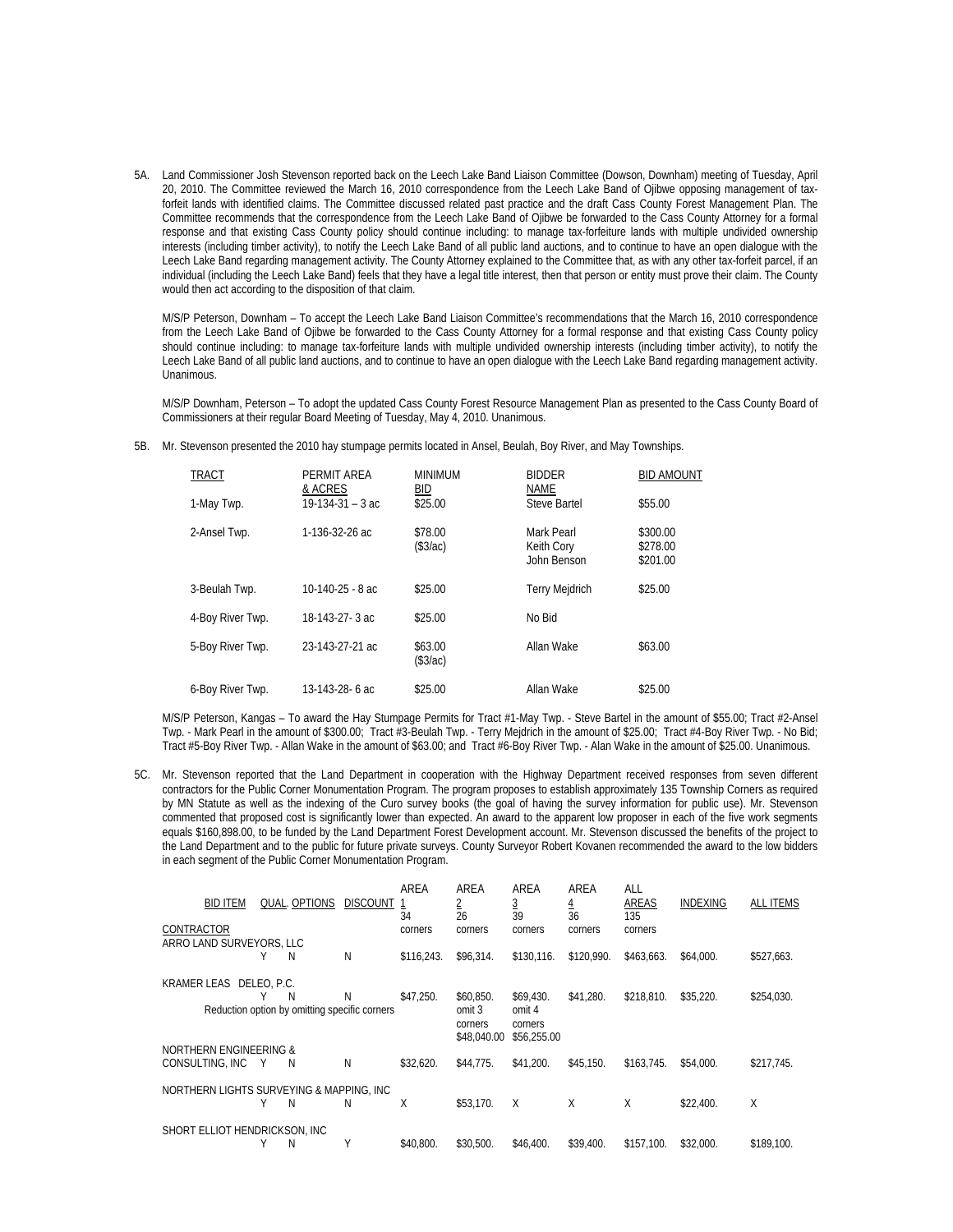5A. Land Commissioner Josh Stevenson reported back on the Leech Lake Band Liaison Committee (Dowson, Downham) meeting of Tuesday, April 20, 2010. The Committee reviewed the March 16, 2010 correspondence from the Leech Lake Band of Ojibwe opposing management of taxforfeit lands with identified claims. The Committee discussed related past practice and the draft Cass County Forest Management Plan. The Committee recommends that the correspondence from the Leech Lake Band of Ojibwe be forwarded to the Cass County Attorney for a formal response and that existing Cass County policy should continue including: to manage tax-forfeiture lands with multiple undivided ownership interests (including timber activity), to notify the Leech Lake Band of all public land auctions, and to continue to have an open dialogue with the Leech Lake Band regarding management activity. The County Attorney explained to the Committee that, as with any other tax-forfeit parcel, if an individual (including the Leech Lake Band) feels that they have a legal title interest, then that person or entity must prove their claim. The County would then act according to the disposition of that claim.

 M/S/P Peterson, Downham – To accept the Leech Lake Band Liaison Committee's recommendations that the March 16, 2010 correspondence from the Leech Lake Band of Ojibwe be forwarded to the Cass County Attorney for a formal response and that existing Cass County policy should continue including: to manage tax-forfeiture lands with multiple undivided ownership interests (including timber activity), to notify the Leech Lake Band of all public land auctions, and to continue to have an open dialogue with the Leech Lake Band regarding management activity. Unanimous.

M/S/P Downham, Peterson – To adopt the updated Cass County Forest Resource Management Plan as presented to the Cass County Board of Commissioners at their regular Board Meeting of Tuesday, May 4, 2010. Unanimous.

5B. Mr. Stevenson presented the 2010 hay stumpage permits located in Ansel, Beulah, Boy River, and May Townships.

| <b>TRACT</b>     | PERMIT AREA<br>& ACRES | <b>MINIMUM</b><br>BID | <b>BIDDER</b><br><b>NAME</b>            | <b>BID AMOUNT</b>                |
|------------------|------------------------|-----------------------|-----------------------------------------|----------------------------------|
| 1-May Twp.       | $19-134-31-3ac$        | \$25.00               | Steve Bartel                            | \$55.00                          |
| 2-Ansel Twp.     | 1-136-32-26 ac         | \$78.00<br>(\$3/ac)   | Mark Pearl<br>Keith Cory<br>John Benson | \$300.00<br>\$278.00<br>\$201.00 |
| 3-Beulah Twp.    | $10-140-25 - 8$ ac     | \$25.00               | <b>Terry Mejdrich</b>                   | \$25.00                          |
| 4-Boy River Twp. | 18-143-27-3 ac         | \$25.00               | No Bid                                  |                                  |
| 5-Boy River Twp. | 23-143-27-21 ac        | \$63.00<br>(\$3/ac)   | Allan Wake                              | \$63.00                          |
| 6-Boy River Twp. | 13-143-28-6 ac         | \$25.00               | Allan Wake                              | \$25.00                          |

M/S/P Peterson, Kangas – To award the Hay Stumpage Permits for Tract #1-May Twp. - Steve Bartel in the amount of \$55.00; Tract #2-Ansel Twp. - Mark Pearl in the amount of \$300.00; Tract #3-Beulah Twp. - Terry Mejdrich in the amount of \$25.00; Tract #4-Boy River Twp. - No Bid; Tract #5-Boy River Twp. - Allan Wake in the amount of \$63.00; and Tract #6-Boy River Twp. - Alan Wake in the amount of \$25.00. Unanimous.

5C. Mr. Stevenson reported that the Land Department in cooperation with the Highway Department received responses from seven different contractors for the Public Corner Monumentation Program. The program proposes to establish approximately 135 Township Corners as required by MN Statute as well as the indexing of the Curo survey books (the goal of having the survey information for public use). Mr. Stevenson commented that proposed cost is significantly lower than expected. An award to the apparent low proposer in each of the five work segments equals \$160,898.00, to be funded by the Land Department Forest Development account. Mr. Stevenson discussed the benefits of the project to the Land Department and to the public for future private surveys. County Surveyor Robert Kovanen recommended the award to the low bidders in each segment of the Public Corner Monumentation Program.

| <b>BID ITEM</b>                          |   | QUAL. OPTIONS                                 | <b>DISCOUNT</b> | AREA<br>34 | AREA<br>2<br>26        | AREA<br>3<br>39        | AREA<br>$\overline{4}$<br>36 | ALL<br>AREAS<br>135 | INDEXING  | <b>ALL ITEMS</b> |
|------------------------------------------|---|-----------------------------------------------|-----------------|------------|------------------------|------------------------|------------------------------|---------------------|-----------|------------------|
| <b>CONTRACTOR</b>                        |   |                                               |                 | corners    | corners                | corners                | corners                      | corners             |           |                  |
| ARRO LAND SURVEYORS. LLC                 |   |                                               |                 |            |                        |                        |                              |                     |           |                  |
|                                          | Υ | N                                             | N               | \$116,243. | \$96.314.              | \$130.116.             | \$120.990.                   | \$463.663.          | \$64,000. | \$527,663.       |
| KRAMER LEAS DELEO, P.C.                  |   |                                               |                 |            |                        |                        |                              |                     |           |                  |
|                                          | Υ | N                                             | N               | \$47.250.  | \$60.850.              | \$69.430.              | \$41.280.                    | \$218.810.          | \$35.220. | \$254,030.       |
|                                          |   | Reduction option by omitting specific corners |                 |            | omit 3                 | omit 4                 |                              |                     |           |                  |
|                                          |   |                                               |                 |            | corners<br>\$48,040.00 | corners<br>\$56,255.00 |                              |                     |           |                  |
| NORTHERN ENGINEERING &                   |   |                                               |                 |            |                        |                        |                              |                     |           |                  |
| CONSULTING, INC                          | Y | N                                             | N               | \$32.620.  | \$44,775.              | \$41.200.              | \$45.150.                    | \$163.745.          | \$54,000. | \$217,745.       |
| NORTHERN LIGHTS SURVEYING & MAPPING. INC |   |                                               |                 |            |                        |                        |                              |                     |           |                  |
|                                          | Υ | N                                             | N               | Χ          | \$53.170.              | $\times$               | X                            | X                   | \$22,400. | Χ                |
| SHORT ELLIOT HENDRICKSON, INC            |   |                                               |                 |            |                        |                        |                              |                     |           |                  |
|                                          | Υ | N                                             | Υ               | \$40.800.  | \$30.500.              | \$46,400.              | \$39.400.                    | \$157.100.          | \$32.000. | \$189.100.       |